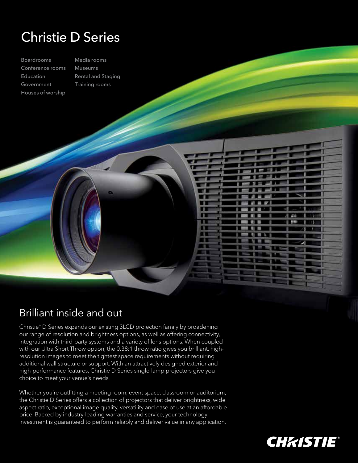## Christie D Series

Boardrooms Conference rooms Education Government Houses of worship

Media rooms Museums Rental and Staging Training rooms

## Brilliant inside and out

Christie® D Series expands our existing 3LCD projection family by broadening our range of resolution and brightness options, as well as offering connectivity, integration with third-party systems and a variety of lens options. When coupled with our Ultra Short Throw option, the 0.38:1 throw ratio gives you brilliant, highresolution images to meet the tightest space requirements without requiring additional wall structure or support. With an attractively designed exterior and high-performance features, Christie D Series single-lamp projectors give you choice to meet your venue's needs.

. n m

> $\mathbb{R}$ n

Whether you're outfitting a meeting room, event space, classroom or auditorium, the Christie D Series offers a collection of projectors that deliver brightness, wide aspect ratio, exceptional image quality, versatility and ease of use at an affordable price. Backed by industry-leading warranties and service, your technology investment is guaranteed to perform reliably and deliver value in any application.



8.44

٠  $\blacksquare$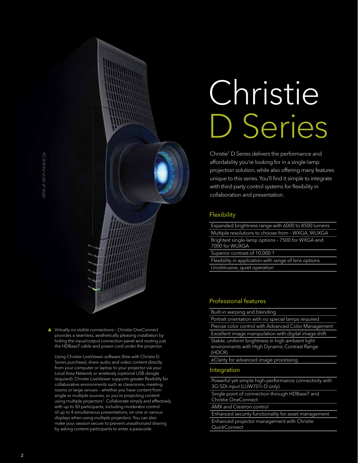▲ Virtually no visible connections - Christie OneConnect provides a seamless, aesthetically pleasing installation by hiding the input/output connection panel and routing just the HDBaseT cable and power cord under the projector.

 Using Christie LiveViewer software (free with Christie D Series purchase), share audio and video content directly from your computer or laptop to your projector via your Local Area Network or wirelessly (optional USB dongle required). Christie LiveViewer supports greater flexibility for collaborative environments such as classrooms, meeting rooms or large venues – whether you have content from single or multiple sources, or you're projecting content using multiple projectors<sup>1</sup>. Collaborate simply and effectively with up to 50 participants, including moderator control of up to 4 simultaneous presentations, on one or various displays when using multiple projectors. You can also make your session secure to prevent unauthorized sharing by asking content participants to enter a passcode.

# Christie D Series

Christie® D Series delivers the performance and affordability you're looking for in a single-lamp projection solution, while also offering many features unique to this series. You'll find it simple to integrate with third-party control systems for flexibility in collaboration and presentation.

#### **Flexibility**

Expanded brightness range with 6000 to 8500 lumens Multiple resolutions to choose from – WXGA, WUXGA Brightest single-lamp options – 7500 for WXGA and 7000 for WUXGA

Superior contrast of 10,000:1

Flexibility in application with range of lens options Unobtrusive, quiet operation

#### Professional features

Built-in warping and blending

Portrait orientation with no special lamps required Precise color control with Advanced Color Management Excellent image manipulation with digital image shift Stable, uniform brightness in high ambient light environments with High Dynamic Contrast Range (HDCR)

eClarity for advanced image processing

#### Integration

Powerful yet simple high-performance connectivity with 3G-SDI input (LUW701i-D only)

Single point of connection through HDBaseT and Christie OneConnect

AMX and Crestron control

Enhanced security functionality for asset management Enhanced projector management with Christie **QuickConnect**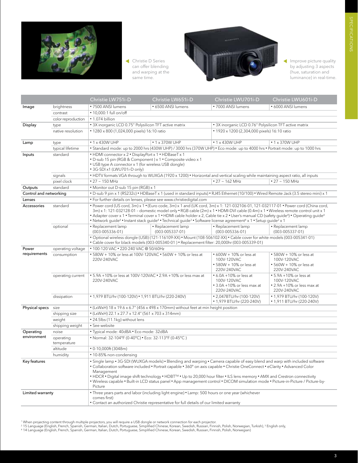

 Christie D Series can offer blending and warping at the same time.



Improve picture quality by adjusting 3 aspects (hue, saturation and luminance) in real-time.

|                                  |                          | Christie LW751i-D                                                                                                                                                                                                                                                                                                                                                                                                                                                                                                                                                                                                                                                          | Christie LW651i-D     | Christie LWU701i-D                                                                 | Christie LWU601i-D                                                                 |
|----------------------------------|--------------------------|----------------------------------------------------------------------------------------------------------------------------------------------------------------------------------------------------------------------------------------------------------------------------------------------------------------------------------------------------------------------------------------------------------------------------------------------------------------------------------------------------------------------------------------------------------------------------------------------------------------------------------------------------------------------------|-----------------------|------------------------------------------------------------------------------------|------------------------------------------------------------------------------------|
| Image                            | brightness               | • 7500 ANSI lumens                                                                                                                                                                                                                                                                                                                                                                                                                                                                                                                                                                                                                                                         | • 6500 ANSI lumens    | • 7000 ANSI lumens                                                                 | • 6000 ANSI lumens                                                                 |
|                                  | contrast                 | • 10,000:1 full on/off                                                                                                                                                                                                                                                                                                                                                                                                                                                                                                                                                                                                                                                     |                       |                                                                                    |                                                                                    |
|                                  | color reproduction       | · 1.074 billion                                                                                                                                                                                                                                                                                                                                                                                                                                                                                                                                                                                                                                                            |                       |                                                                                    |                                                                                    |
| Display                          | type                     | • 3X inorganic LCD 0.75" Polysilicon TFT active matrix                                                                                                                                                                                                                                                                                                                                                                                                                                                                                                                                                                                                                     |                       | • 3X inorganic LCD 0.76" Polysilicon TFT active matrix                             |                                                                                    |
|                                  | native resolution        | • 1280 x 800 (1,024,000 pixels) 16:10 ratio                                                                                                                                                                                                                                                                                                                                                                                                                                                                                                                                                                                                                                |                       | • 1920 x 1200 (2,304,000 pixels) 16:10 ratio                                       |                                                                                    |
|                                  |                          |                                                                                                                                                                                                                                                                                                                                                                                                                                                                                                                                                                                                                                                                            |                       |                                                                                    |                                                                                    |
| Lamp                             | type                     | $\cdot$ 1 x 430W UHP                                                                                                                                                                                                                                                                                                                                                                                                                                                                                                                                                                                                                                                       | $\cdot$ 1 x 370W UHP  | $\cdot$ 1 x 430W UHP                                                               | $\cdot$ 1 x 370W UHP                                                               |
|                                  | typical lifetime         | • Standard mode: up to 2000 hrs (430W UHP) / 3000 hrs (370W UHP) • Eco mode: up to 4000 hrs • Portrait mode: up to 1000 hrs                                                                                                                                                                                                                                                                                                                                                                                                                                                                                                                                                |                       |                                                                                    |                                                                                    |
| Inputs                           | standard                 | • HDMI connector x 2 • DisplayPort x 1 • HDBaseT x 1<br>• D-sub 15 pin (RGB & Component) x 1 • Composite video x 1<br>• USB type A connector x 1 (for wireless USB dongle)<br>• 3G-SDI x1 (LWU701i-D only)                                                                                                                                                                                                                                                                                                                                                                                                                                                                 |                       |                                                                                    |                                                                                    |
|                                  | signals                  | • HDTV formats VGA through to WUXGA (1920 x 1200) • Horizontal and vertical scaling while maintaining aspect ratio, all inputs                                                                                                                                                                                                                                                                                                                                                                                                                                                                                                                                             |                       |                                                                                    |                                                                                    |
|                                  | pixel clock              | $\cdot$ 27 $\sim$ 150 MHz                                                                                                                                                                                                                                                                                                                                                                                                                                                                                                                                                                                                                                                  |                       | $\cdot$ 27 $\sim$ 162 MHz                                                          | $\cdot$ 27 $\sim$ 150 MHz                                                          |
| Outputs                          | standard                 | • Monitor out D-sub 15 pin (RGB) x 1                                                                                                                                                                                                                                                                                                                                                                                                                                                                                                                                                                                                                                       |                       |                                                                                    |                                                                                    |
| Control and networking           |                          | • D-sub 9 pin x 1 (RS232c) • HDBaseT x 1 (used in standard inputs) • RJ45 Ethernet (10/100) • Wired Remote Jack (3.5 stereo mini) x 1                                                                                                                                                                                                                                                                                                                                                                                                                                                                                                                                      |                       |                                                                                    |                                                                                    |
| Lenses                           |                          | • For further details on lenses, please see www.christiedigital.com                                                                                                                                                                                                                                                                                                                                                                                                                                                                                                                                                                                                        |                       |                                                                                    |                                                                                    |
| Accessories                      | standard                 | . Power cord (US cord, 3m) x 1 . (Euro code, 3m) x 1 and (UK cord, 3m) x 1: 121-032106-01, 121-032117-01 . Power cord (China cord,<br>3m) x 1: 121-032128-01 - domestic model only • RGB cable (2m) x 1 • HDMI-DVI cable (0.4m) x 1 • Wireless remote control unit x 1<br>• Adapter cover x 1 • Terminal cover x 1 • HDMI cable holder x 2, Cable tie x 2 • User's manual CD (safety guide <sup>4</sup> ) • Operating guide <sup>4</sup><br>• Network quide <sup>4</sup> • Instant stack quide <sup>4</sup> • Technical quide <sup>3</sup> • Software license agreement <sup>4</sup> x 1 • Setup quide <sup>2</sup> x 1                                                    |                       |                                                                                    |                                                                                    |
|                                  | optional                 | • Replacement lamp                                                                                                                                                                                                                                                                                                                                                                                                                                                                                                                                                                                                                                                         | · Replacement lamp    | · Replacement lamp                                                                 | • Replacement lamp                                                                 |
|                                  |                          | $(003 - 005336 - 01)$                                                                                                                                                                                                                                                                                                                                                                                                                                                                                                                                                                                                                                                      | $(003 - 005337 - 01)$ | $(003 - 005336 - 01)$                                                              | $(003 - 005337 - 01)$                                                              |
|                                  |                          | · Optional wireless dongle (USB) (121-116109-XX) · Mount (108-506102-XX) · Cable cover for white models (003-005341-01)<br>• Cable cover for black models (003-005340-01) • Replacement filter: 20,000hr (003-005339-01)                                                                                                                                                                                                                                                                                                                                                                                                                                                   |                       |                                                                                    |                                                                                    |
| Power<br>requirements            | operating voltage        | • 100-120 VAC • 220-240 VAC @ 50/60Hz                                                                                                                                                                                                                                                                                                                                                                                                                                                                                                                                                                                                                                      |                       |                                                                                    |                                                                                    |
|                                  | consumption              | • 580W + 10% or less at 100V-120VAC • 560W + 10% or less at<br>220V-240VAC                                                                                                                                                                                                                                                                                                                                                                                                                                                                                                                                                                                                 |                       | • 600W + 10% or less at<br>100V-120VAC<br>• 580W + 10% or less at<br>220V-240VAC   | • 580W + 10% or less at<br>100V-120VAC<br>• 560W + 10% or less at<br>220V-240VAC   |
|                                  | operating current        | • 5.9A +10% or less at 100V-120VAC • 2.9A +10% or less max at<br>220V-240VAC                                                                                                                                                                                                                                                                                                                                                                                                                                                                                                                                                                                               |                       | • 6.0A +10% or less at<br>100V-120VAC<br>• 3.0A +10% or less max at<br>220V-240VAC | • 5.9A +10% or less at<br>100V-120VAC<br>• 2.9A +10% or less max at<br>220V-240VAC |
|                                  | dissipation              | • 1,979 BTU/hr (100-120V) • 1,911 BTU/hr (220-240V)                                                                                                                                                                                                                                                                                                                                                                                                                                                                                                                                                                                                                        |                       | • 2,047BTU/hr (100-120V)<br>• 1,979 BTU/hr (220-240V)                              | • 1,979 BTU/hr (100-120V)<br>• 1,911 BTU/hr (220-240V)                             |
| Physical specs size              |                          | • (LxWxH) 18 x 19.6 x 6.7" (456 x 498 x 170mm) without feet at min height position                                                                                                                                                                                                                                                                                                                                                                                                                                                                                                                                                                                         |                       |                                                                                    |                                                                                    |
|                                  | shipping size            | $\bullet$ (LxWxH) 22.1 x 27.7 x 12.4" (561 x 703 x 314mm)                                                                                                                                                                                                                                                                                                                                                                                                                                                                                                                                                                                                                  |                       |                                                                                    |                                                                                    |
|                                  | weight                   | • 24.5lbs (11.1kg) without lens                                                                                                                                                                                                                                                                                                                                                                                                                                                                                                                                                                                                                                            |                       |                                                                                    |                                                                                    |
|                                  | shipping weight          | • See website                                                                                                                                                                                                                                                                                                                                                                                                                                                                                                                                                                                                                                                              |                       |                                                                                    |                                                                                    |
| Operating                        | noise                    | • Typical mode: 40dBA • Eco mode: 32dBA                                                                                                                                                                                                                                                                                                                                                                                                                                                                                                                                                                                                                                    |                       |                                                                                    |                                                                                    |
| environment                      | operating<br>temperature | • Normal: 32-104°F (0-40°C) • Eco: 32-113°F (0-45°C)                                                                                                                                                                                                                                                                                                                                                                                                                                                                                                                                                                                                                       |                       |                                                                                    |                                                                                    |
|                                  | altitude                 | $\cdot$ 0-10,000ft (3048m)                                                                                                                                                                                                                                                                                                                                                                                                                                                                                                                                                                                                                                                 |                       |                                                                                    |                                                                                    |
|                                  | humidity                 | • 10-85% non-condensing                                                                                                                                                                                                                                                                                                                                                                                                                                                                                                                                                                                                                                                    |                       |                                                                                    |                                                                                    |
| Key features<br>Limited warranty |                          | • Single lamp • 3G-SDI (WUXGA models) • Blending and warping • Camera capable of easy blend and warp with included software<br>• Collaboration software included • Portrait capable • 360° on axis capable • Christie OneConnect • eClarity • Advanced Color<br>Management<br>• HDCR • Digital image shift technology • HDBT <sup>™</sup> • Up to 20,000 hour filter • ILS lens memory • AMX and Crestron connectivity<br>• Wireless capable • Built-in LCD status panel • App management control • DICOM simulation mode • Picture-in-Picture / Picture-by-<br>Picture<br>. Three years parts and labor (including light engine) • Lamp: 500 hours or one year (whichever |                       |                                                                                    |                                                                                    |
|                                  |                          | comes first)<br>• Contact an authorized Christie representative for full details of our limited warranty                                                                                                                                                                                                                                                                                                                                                                                                                                                                                                                                                                   |                       |                                                                                    |                                                                                    |

- <sup>1</sup> When projecting content through multiple projectors, you will require a USB dongle or network connection for each projector.<br><sup>2</sup> 15 Language (English, French, Spanish, German, Italian, Dutch, Portuguese, Simplified Chi
-